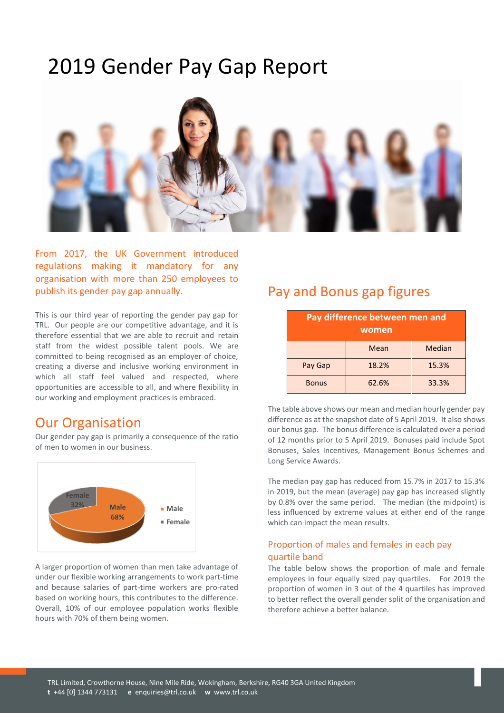# 2019 Gender Pay Gap Report



From 2017, the UK Government introduced regulations making it mandatory for any organisation with more than 250 employees to publish its gender pay gap annually.

This is our third year of reporting the gender pay gap for TRL. Our people are our competitive advantage, and it is therefore essential that we are able to recruit and retain staff from the widest possible talent pools. We are committed to being recognised as an employer of choice, creating a diverse and inclusive working environment in which all staff feel valued and respected, where opportunities are accessible to all, and where flexibility in our working and employment practices is embraced.

### Our Organisation

Our gender pay gap is primarily a consequence of the ratio of men to women in our business.



A larger proportion of women than men take advantage of under our flexible working arrangements to work part-time and because salaries of part-time workers are pro-rated based on working hours, this contributes to the difference. Overall, 10% of our employee population works flexible hours with 70% of them being women.

## Pay and Bonus gap figures

| Pay difference between men and<br>women |       |        |
|-----------------------------------------|-------|--------|
|                                         | Mean  | Median |
| Pay Gap                                 | 18.2% | 15.3%  |
| <b>Bonus</b>                            | 62.6% | 33.3%  |

The table above shows our mean and median hourly gender pay difference as at the snapshot date of 5 April 2019. It also shows our bonus gap. The bonus difference is calculated over a period of 12 months prior to 5 April 2019. Bonuses paid include Spot Bonuses, Sales Incentives, Management Bonus Schemes and Long Service Awards.

The median pay gap has reduced from 15.7% in 2017 to 15.3% in 2019, but the mean (average) pay gap has increased slightly by 0.8% over the same period. The median (the midpoint) is less influenced by extreme values at either end of the range which can impact the mean results.

#### Proportion of males and females in each pay quartile band

The table below shows the proportion of male and female employees in four equally sized pay quartiles. For 2019 the proportion of women in 3 out of the 4 quartiles has improved to better reflect the overall gender split of the organisation and therefore achieve a better balance.